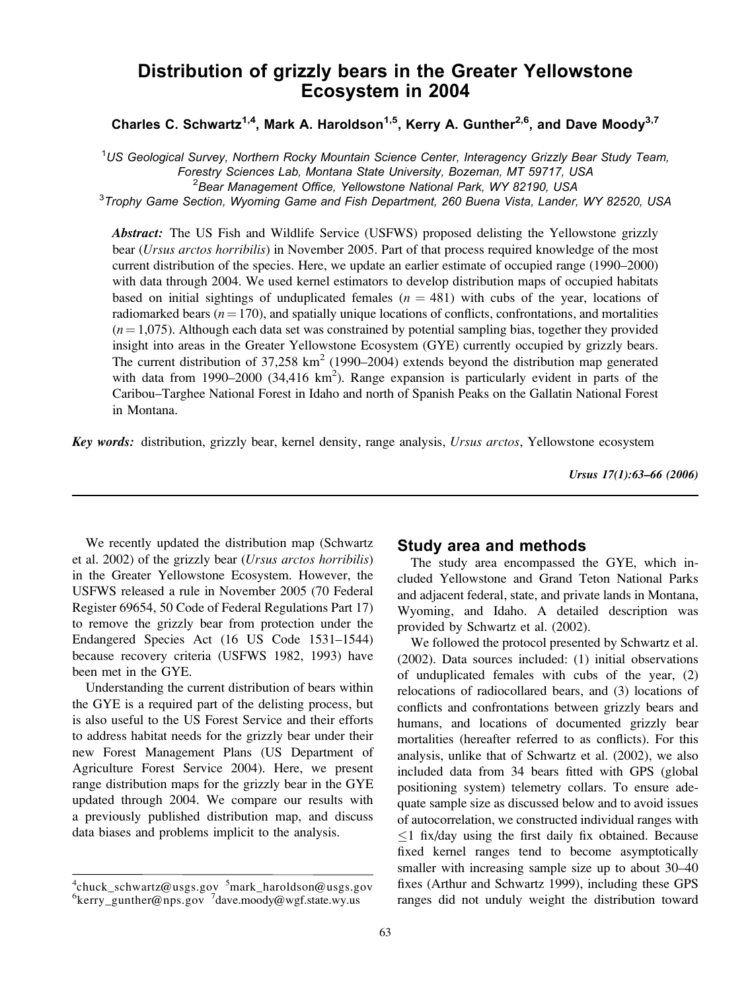# Distribution of grizzly bears in the Greater Yellowstone Ecosystem in 2004

Charles C. Schwartz<sup>1,4</sup>, Mark A. Haroldson<sup>1,5</sup>, Kerry A. Gunther<sup>2,6</sup>, and Dave Moody<sup>3,7</sup>

<sup>1</sup>US Geological Survey, Northern Rocky Mountain Science Center, Interagency Grizzly Bear Study Team, Forestry Sciences Lab, Montana State University, Bozeman, MT 59717, USA <sup>2</sup>

<sup>2</sup> Bear Management Office, Yellowstone National Park, WY 82190, USA

<sup>3</sup>Trophy Game Section, Wyoming Game and Fish Department, 260 Buena Vista, Lander, WY 82520, USA

Abstract: The US Fish and Wildlife Service (USFWS) proposed delisting the Yellowstone grizzly bear (Ursus arctos horribilis) in November 2005. Part of that process required knowledge of the most current distribution of the species. Here, we update an earlier estimate of occupied range (1990–2000) with data through 2004. We used kernel estimators to develop distribution maps of occupied habitats based on initial sightings of unduplicated females ( $n = 481$ ) with cubs of the year, locations of radiomarked bears ( $n = 170$ ), and spatially unique locations of conflicts, confrontations, and mortalities  $(n=1,075)$ . Although each data set was constrained by potential sampling bias, together they provided insight into areas in the Greater Yellowstone Ecosystem (GYE) currently occupied by grizzly bears. The current distribution of  $37,258 \text{ km}^2$  (1990–2004) extends beyond the distribution map generated with data from 1990–2000 (34,416  $km<sup>2</sup>$ ). Range expansion is particularly evident in parts of the Caribou–Targhee National Forest in Idaho and north of Spanish Peaks on the Gallatin National Forest in Montana.

Key words: distribution, grizzly bear, kernel density, range analysis, Ursus arctos, Yellowstone ecosystem

Ursus 17(1):63–66 (2006)

We recently updated the distribution map (Schwartz et al. 2002) of the grizzly bear (Ursus arctos horribilis) in the Greater Yellowstone Ecosystem. However, the USFWS released a rule in November 2005 (70 Federal Register 69654, 50 Code of Federal Regulations Part 17) to remove the grizzly bear from protection under the Endangered Species Act (16 US Code 1531–1544) because recovery criteria (USFWS 1982, 1993) have been met in the GYE.

Understanding the current distribution of bears within the GYE is a required part of the delisting process, but is also useful to the US Forest Service and their efforts to address habitat needs for the grizzly bear under their new Forest Management Plans (US Department of Agriculture Forest Service 2004). Here, we present range distribution maps for the grizzly bear in the GYE updated through 2004. We compare our results with a previously published distribution map, and discuss data biases and problems implicit to the analysis.

## Study area and methods

The study area encompassed the GYE, which included Yellowstone and Grand Teton National Parks and adjacent federal, state, and private lands in Montana, Wyoming, and Idaho. A detailed description was provided by Schwartz et al. (2002).

We followed the protocol presented by Schwartz et al. (2002). Data sources included: (1) initial observations of unduplicated females with cubs of the year, (2) relocations of radiocollared bears, and (3) locations of conflicts and confrontations between grizzly bears and humans, and locations of documented grizzly bear mortalities (hereafter referred to as conflicts). For this analysis, unlike that of Schwartz et al. (2002), we also included data from 34 bears fitted with GPS (global positioning system) telemetry collars. To ensure adequate sample size as discussed below and to avoid issues of autocorrelation, we constructed individual ranges with  $1$  fix/day using the first daily fix obtained. Because fixed kernel ranges tend to become asymptotically smaller with increasing sample size up to about 30–40 fixes (Arthur and Schwartz 1999), including these GPS ranges did not unduly weight the distribution toward

<sup>&</sup>lt;sup>4</sup>chuck\_schwartz@usgs.gov <sup>5</sup>mark\_haroldson@usgs.gov<br><sup>6</sup>kerry\_gunther@nns\_gov\_<sup>7</sup>daye\_moody@uygf.state\_uy\_us kerry\_gunther@nps.gov<sup>7</sup>dave.moody@wgf.state.wy.us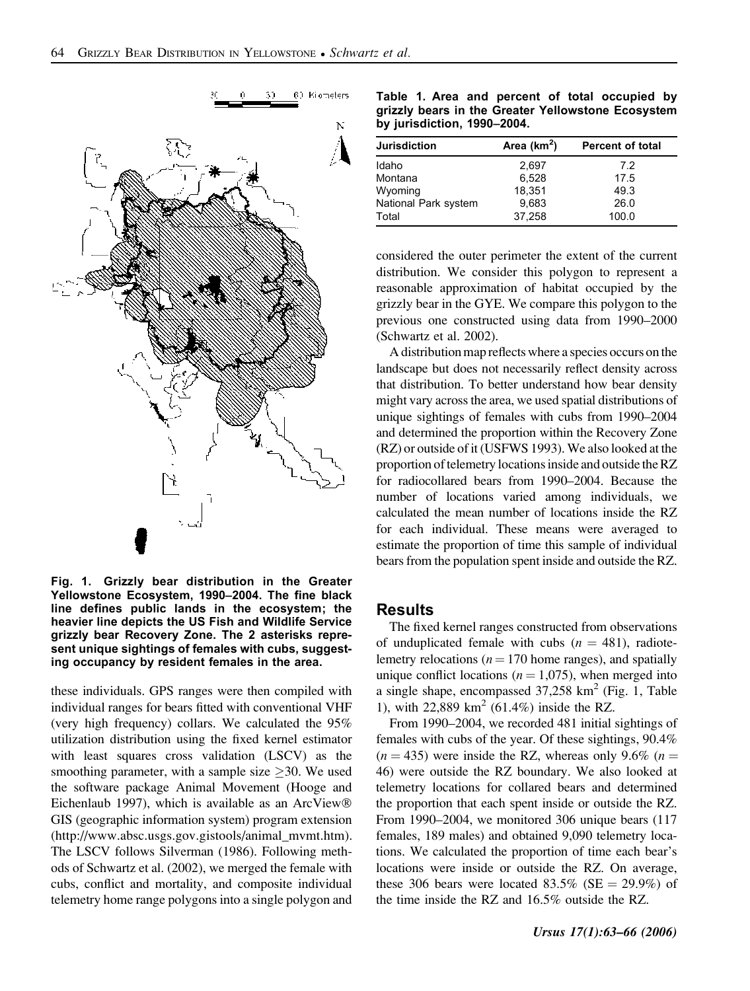

Fig. 1. Grizzly bear distribution in the Greater Yellowstone Ecosystem, 1990–2004. The fine black line defines public lands in the ecosystem; the heavier line depicts the US Fish and Wildlife Service grizzly bear Recovery Zone. The 2 asterisks represent unique sightings of females with cubs, suggesting occupancy by resident females in the area.

these individuals. GPS ranges were then compiled with individual ranges for bears fitted with conventional VHF (very high frequency) collars. We calculated the 95% utilization distribution using the fixed kernel estimator with least squares cross validation (LSCV) as the smoothing parameter, with a sample size  $\geq$ 30. We used the software package Animal Movement (Hooge and Eichenlaub 1997), which is available as an ArcView GIS (geographic information system) program extension (http://www.absc.usgs.gov.gistools/animal\_mvmt.htm). The LSCV follows Silverman (1986). Following methods of Schwartz et al. (2002), we merged the female with cubs, conflict and mortality, and composite individual telemetry home range polygons into a single polygon and

Table 1. Area and percent of total occupied by grizzly bears in the Greater Yellowstone Ecosystem by jurisdiction, 1990–2004.

| <b>Jurisdiction</b>  | Area $(km2)$ | <b>Percent of total</b> |
|----------------------|--------------|-------------------------|
| Idaho                | 2,697        | 7.2                     |
| Montana              | 6.528        | 17.5                    |
| Wyoming              | 18,351       | 49.3                    |
| National Park system | 9,683        | 26.0                    |
| Total                | 37.258       | 100.0                   |

considered the outer perimeter the extent of the current distribution. We consider this polygon to represent a reasonable approximation of habitat occupied by the grizzly bear in the GYE. We compare this polygon to the previous one constructed using data from 1990–2000 (Schwartz et al. 2002).

A distribution map reflects where a species occurs on the landscape but does not necessarily reflect density across that distribution. To better understand how bear density might vary across the area, we used spatial distributions of unique sightings of females with cubs from 1990–2004 and determined the proportion within the Recovery Zone (RZ) or outside of it (USFWS 1993). We also looked at the proportion of telemetry locations inside and outside the RZ for radiocollared bears from 1990–2004. Because the number of locations varied among individuals, we calculated the mean number of locations inside the RZ for each individual. These means were averaged to estimate the proportion of time this sample of individual bears from the population spent inside and outside the RZ.

## Results

The fixed kernel ranges constructed from observations of unduplicated female with cubs  $(n = 481)$ , radiotelemetry relocations ( $n = 170$  home ranges), and spatially unique conflict locations ( $n = 1,075$ ), when merged into a single shape, encompassed  $37,258$  km<sup>2</sup> (Fig. 1, Table 1), with 22,889 km<sup>2</sup> (61.4%) inside the RZ.

From 1990–2004, we recorded 481 initial sightings of females with cubs of the year. Of these sightings, 90.4%  $(n = 435)$  were inside the RZ, whereas only 9.6%  $(n = 435)$ 46) were outside the RZ boundary. We also looked at telemetry locations for collared bears and determined the proportion that each spent inside or outside the RZ. From 1990–2004, we monitored 306 unique bears (117 females, 189 males) and obtained 9,090 telemetry locations. We calculated the proportion of time each bear's locations were inside or outside the RZ. On average, these 306 bears were located 83.5% (SE  $=$  29.9%) of the time inside the RZ and 16.5% outside the RZ.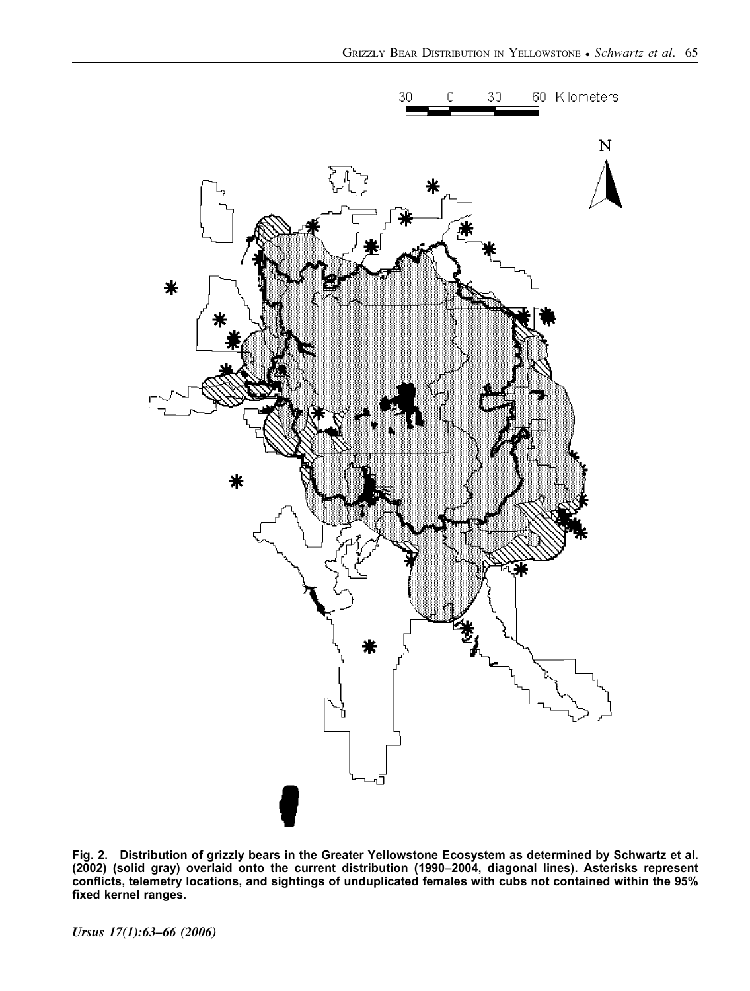

Fig. 2. Distribution of grizzly bears in the Greater Yellowstone Ecosystem as determined by Schwartz et al. (2002) (solid gray) overlaid onto the current distribution (1990–2004, diagonal lines). Asterisks represent conflicts, telemetry locations, and sightings of unduplicated females with cubs not contained within the 95% fixed kernel ranges.

Ursus 17(1):63–66 (2006)